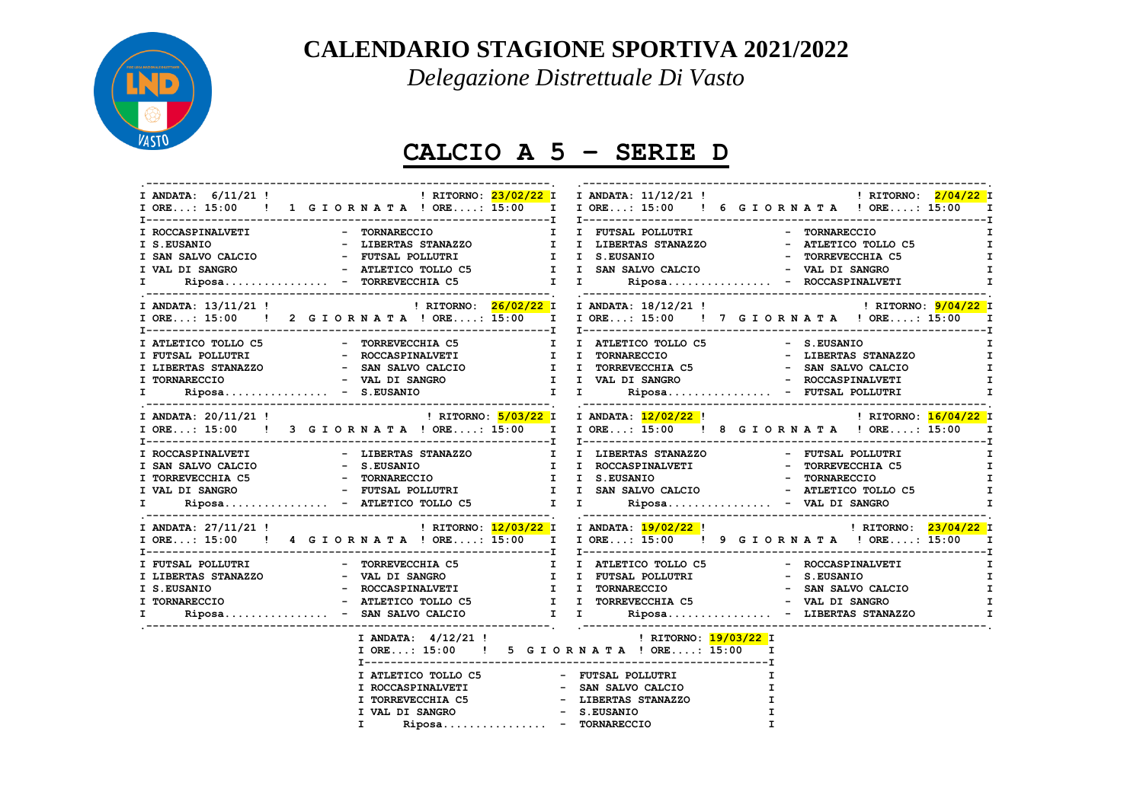

## **CALENDARIO STAGIONE SPORTIVA 2021/2022**

*Delegazione Distrettuale Di Vasto*

## **CALCIO A 5 – SERIE D**

|    |                                       | I ORE: 15:00 ! 1 G I O R N A T A ! ORE: 15:00 I I ORE: 15:00 ! 6 G I O R N A T A ! ORE: 15:00 I                                                                                                                                                                                                                                                                                                                                                                  |              |  |  |  |
|----|---------------------------------------|------------------------------------------------------------------------------------------------------------------------------------------------------------------------------------------------------------------------------------------------------------------------------------------------------------------------------------------------------------------------------------------------------------------------------------------------------------------|--------------|--|--|--|
|    |                                       |                                                                                                                                                                                                                                                                                                                                                                                                                                                                  |              |  |  |  |
|    |                                       | $\begin{tabular}{lllllllllllllll} \texttt{I} & \texttt{ROCCASPINALVETI} & - & \texttt{TORMARECCIO} & \texttt{I} & \texttt{I} & \texttt{FUTSAL} & \texttt{POLUTRI} & - & \texttt{TORMARECCIO} & \texttt{I} \\ \texttt{I} & S. EUSANIO & - & LIBERTAS STANAZZO & \texttt{I} & \texttt{I} & LIBERTAS STANAZZO & - & ATLETICO TOLLO C5 & \texttt{I} \\ \texttt{I} & S.NSALVO CALCIO & - & FUTSAL POLLUTRI & \texttt{I} & S. EUSANIO & - & TORREVECCHIA C5 & \texttt$ |              |  |  |  |
|    |                                       |                                                                                                                                                                                                                                                                                                                                                                                                                                                                  | $\mathbf{I}$ |  |  |  |
|    |                                       |                                                                                                                                                                                                                                                                                                                                                                                                                                                                  | Т.           |  |  |  |
|    |                                       |                                                                                                                                                                                                                                                                                                                                                                                                                                                                  | $\mathbf{T}$ |  |  |  |
|    |                                       |                                                                                                                                                                                                                                                                                                                                                                                                                                                                  |              |  |  |  |
|    |                                       |                                                                                                                                                                                                                                                                                                                                                                                                                                                                  |              |  |  |  |
|    |                                       | I ORE: 15:00 ! 2 G I O R N A T A ! ORE: 15:00 I I ORE: 15:00 ! 7 G I O R N A T A ! ORE: 15:00 I                                                                                                                                                                                                                                                                                                                                                                  |              |  |  |  |
|    |                                       |                                                                                                                                                                                                                                                                                                                                                                                                                                                                  |              |  |  |  |
|    |                                       |                                                                                                                                                                                                                                                                                                                                                                                                                                                                  |              |  |  |  |
|    |                                       |                                                                                                                                                                                                                                                                                                                                                                                                                                                                  |              |  |  |  |
|    |                                       |                                                                                                                                                                                                                                                                                                                                                                                                                                                                  |              |  |  |  |
|    |                                       | $\begin{tabular}{l c c c c c c c c} \hline \texttt{I ATLETICO TOLLO C5} & - & \texttt{TORREVECCHIA C5} & \texttt{I} & \texttt{I ATLETICO TOLLO C5} & - & S.EUSANIO & \texttt{I} \\ \hline \texttt{I FUTSAL POLLUTRI} & - & \texttt{ROCCASPINALVETI} & - & \texttt{ROCCASPINALVETI} & \texttt{I} & \texttt{TORRREVECCHIA C5} & - & \texttt{SAN SALVO CAL CIO} & \texttt{I} & \texttt{TORREVECCHIA C5} & - & \texttt{SAN SALVO CAL CIO$                            |              |  |  |  |
|    |                                       |                                                                                                                                                                                                                                                                                                                                                                                                                                                                  |              |  |  |  |
|    |                                       |                                                                                                                                                                                                                                                                                                                                                                                                                                                                  |              |  |  |  |
|    |                                       |                                                                                                                                                                                                                                                                                                                                                                                                                                                                  | I            |  |  |  |
|    |                                       | I SAN SALVO CALCIO - S.EUSANIO I I ROCCASPINALVETI - TORREVECCHIA C5<br>I TORREVECCHIA C5 - TORNARECCIO I I S.EUSANIO - TORNARECCIO I I S.EUSANIO - TORNARECCIO - TORNARECCIO I I S.EUSANIO - TORNARECCIO - TORNARECCIO - TORNAR                                                                                                                                                                                                                                 | $\mathbf{I}$ |  |  |  |
|    |                                       |                                                                                                                                                                                                                                                                                                                                                                                                                                                                  | $\mathbf{I}$ |  |  |  |
|    |                                       |                                                                                                                                                                                                                                                                                                                                                                                                                                                                  | $\mathbf{I}$ |  |  |  |
| I. |                                       | Riposa - ATLETICO TOLLO C5 $I$ I I Riposa - VAL DI SANGRO                                                                                                                                                                                                                                                                                                                                                                                                        | $\mathbf{I}$ |  |  |  |
|    |                                       |                                                                                                                                                                                                                                                                                                                                                                                                                                                                  |              |  |  |  |
|    |                                       | I ORE: 15:00 ! 4 G I O R N A T A ! ORE: 15:00 I I ORE: 15:00 ! 9 G I O R N A T A ! ORE: 15:00                                                                                                                                                                                                                                                                                                                                                                    | $\mathbf{I}$ |  |  |  |
|    |                                       |                                                                                                                                                                                                                                                                                                                                                                                                                                                                  | I            |  |  |  |
|    |                                       |                                                                                                                                                                                                                                                                                                                                                                                                                                                                  | $\mathbf{I}$ |  |  |  |
|    |                                       |                                                                                                                                                                                                                                                                                                                                                                                                                                                                  | $\mathbf{I}$ |  |  |  |
|    |                                       |                                                                                                                                                                                                                                                                                                                                                                                                                                                                  | I            |  |  |  |
|    |                                       | Riposa - SAN SALVO CALCIO             I           Riposa - LIBERTAS STANAZZO                                                                                                                                                                                                                                                                                                                                                                                     | I            |  |  |  |
|    |                                       |                                                                                                                                                                                                                                                                                                                                                                                                                                                                  |              |  |  |  |
|    |                                       | I ANDATA: 4/12/21 ! 1 2021 22 23<br>I ORE: 15:00 ! 5 G I OR N A T A ! ORE: 15:00 I                                                                                                                                                                                                                                                                                                                                                                               |              |  |  |  |
|    |                                       |                                                                                                                                                                                                                                                                                                                                                                                                                                                                  |              |  |  |  |
|    | I ATLETICO TOLLO C5 - FUTSAL POLLUTRI | <b>I</b>                                                                                                                                                                                                                                                                                                                                                                                                                                                         |              |  |  |  |
|    |                                       | I.                                                                                                                                                                                                                                                                                                                                                                                                                                                               |              |  |  |  |
|    |                                       | I                                                                                                                                                                                                                                                                                                                                                                                                                                                                |              |  |  |  |
|    | I VAL DI SANGRO                       | - S.EUSANIO<br>$\mathbf{I}$                                                                                                                                                                                                                                                                                                                                                                                                                                      |              |  |  |  |
|    | Riposa - TORNARECCIO<br>T.            | $\mathbf{T}$                                                                                                                                                                                                                                                                                                                                                                                                                                                     |              |  |  |  |